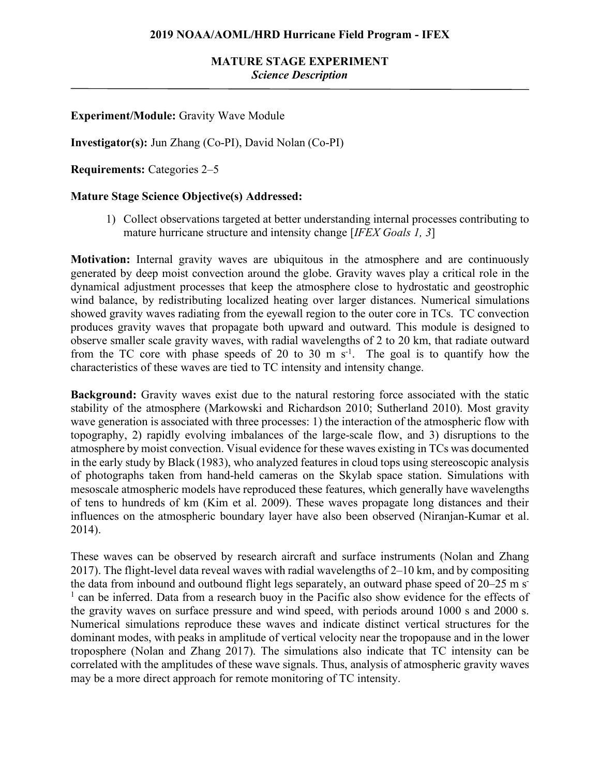## **MATURE STAGE EXPERIMENT** *Science Description*

### **Experiment/Module:** Gravity Wave Module

**Investigator(s):** Jun Zhang (Co-PI), David Nolan (Co-PI)

**Requirements:** Categories 2–5

#### **Mature Stage Science Objective(s) Addressed:**

1) Collect observations targeted at better understanding internal processes contributing to mature hurricane structure and intensity change [*IFEX Goals 1, 3*]

**Motivation:** Internal gravity waves are ubiquitous in the atmosphere and are continuously generated by deep moist convection around the globe. Gravity waves play a critical role in the dynamical adjustment processes that keep the atmosphere close to hydrostatic and geostrophic wind balance, by redistributing localized heating over larger distances. Numerical simulations showed gravity waves radiating from the eyewall region to the outer core in TCs. TC convection produces gravity waves that propagate both upward and outward. This module is designed to observe smaller scale gravity waves, with radial wavelengths of 2 to 20 km, that radiate outward from the TC core with phase speeds of 20 to 30 m  $s^{-1}$ . The goal is to quantify how the characteristics of these waves are tied to TC intensity and intensity change.

**Background:** Gravity waves exist due to the natural restoring force associated with the static stability of the atmosphere (Markowski and Richardson 2010; Sutherland 2010). Most gravity wave generation is associated with three processes: 1) the interaction of the atmospheric flow with topography, 2) rapidly evolving imbalances of the large-scale flow, and 3) disruptions to the atmosphere by moist convection. Visual evidence for these waves existing in TCs was documented in the early study by Black (1983), who analyzed features in cloud tops using stereoscopic analysis of photographs taken from hand-held cameras on the Skylab space station. Simulations with mesoscale atmospheric models have reproduced these features, which generally have wavelengths of tens to hundreds of km (Kim et al. 2009). These waves propagate long distances and their influences on the atmospheric boundary layer have also been observed (Niranjan-Kumar et al. 2014).

These waves can be observed by research aircraft and surface instruments (Nolan and Zhang 2017). The flight-level data reveal waves with radial wavelengths of 2–10 km, and by compositing the data from inbound and outbound flight legs separately, an outward phase speed of 20–25 m s<sup>-</sup> <sup>1</sup> can be inferred. Data from a research buoy in the Pacific also show evidence for the effects of the gravity waves on surface pressure and wind speed, with periods around 1000 s and 2000 s. Numerical simulations reproduce these waves and indicate distinct vertical structures for the dominant modes, with peaks in amplitude of vertical velocity near the tropopause and in the lower troposphere (Nolan and Zhang 2017). The simulations also indicate that TC intensity can be correlated with the amplitudes of these wave signals. Thus, analysis of atmospheric gravity waves may be a more direct approach for remote monitoring of TC intensity.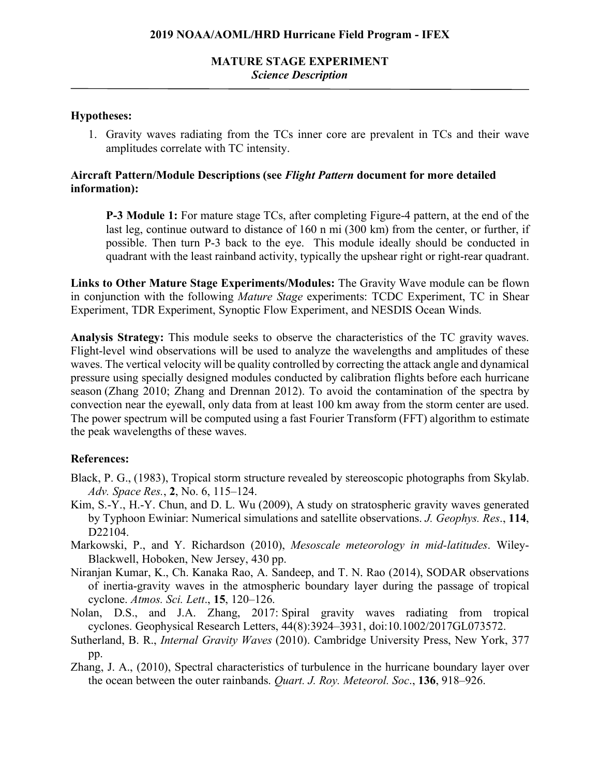## **MATURE STAGE EXPERIMENT** *Science Description*

#### **Hypotheses:**

1. Gravity waves radiating from the TCs inner core are prevalent in TCs and their wave amplitudes correlate with TC intensity.

#### **Aircraft Pattern/Module Descriptions (see** *Flight Pattern* **document for more detailed information):**

**P-3 Module 1:** For mature stage TCs, after completing Figure-4 pattern, at the end of the last leg, continue outward to distance of 160 n mi (300 km) from the center, or further, if possible. Then turn P-3 back to the eye. This module ideally should be conducted in quadrant with the least rainband activity, typically the upshear right or right-rear quadrant.

**Links to Other Mature Stage Experiments/Modules:** The Gravity Wave module can be flown in conjunction with the following *Mature Stage* experiments: TCDC Experiment, TC in Shear Experiment, TDR Experiment, Synoptic Flow Experiment, and NESDIS Ocean Winds.

**Analysis Strategy:** This module seeks to observe the characteristics of the TC gravity waves. Flight-level wind observations will be used to analyze the wavelengths and amplitudes of these waves. The vertical velocity will be quality controlled by correcting the attack angle and dynamical pressure using specially designed modules conducted by calibration flights before each hurricane season (Zhang 2010; Zhang and Drennan 2012). To avoid the contamination of the spectra by convection near the eyewall, only data from at least 100 km away from the storm center are used. The power spectrum will be computed using a fast Fourier Transform (FFT) algorithm to estimate the peak wavelengths of these waves.

#### **References:**

- Black, P. G., (1983), Tropical storm structure revealed by stereoscopic photographs from Skylab. *Adv. Space Res.*, **2**, No. 6, 115–124.
- Kim, S.-Y., H.-Y. Chun, and D. L. Wu (2009), A study on stratospheric gravity waves generated by Typhoon Ewiniar: Numerical simulations and satellite observations. *J. Geophys. Res*., **114**, D22104.
- Markowski, P., and Y. Richardson (2010), *Mesoscale meteorology in mid-latitudes*. Wiley-Blackwell, Hoboken, New Jersey, 430 pp.
- Niranjan Kumar, K., Ch. Kanaka Rao, A. Sandeep, and T. N. Rao (2014), SODAR observations of inertia-gravity waves in the atmospheric boundary layer during the passage of tropical cyclone. *Atmos. Sci. Lett*., **15**, 120–126.
- Nolan, D.S., and J.A. Zhang, 2017: Spiral gravity waves radiating from tropical cyclones. Geophysical Research Letters, 44(8):3924–3931, doi:10.1002/2017GL073572.
- Sutherland, B. R., *Internal Gravity Waves* (2010). Cambridge University Press, New York, 377 pp.
- Zhang, J. A., (2010), Spectral characteristics of turbulence in the hurricane boundary layer over the ocean between the outer rainbands. *Quart. J. Roy. Meteorol. Soc*., **136**, 918–926.